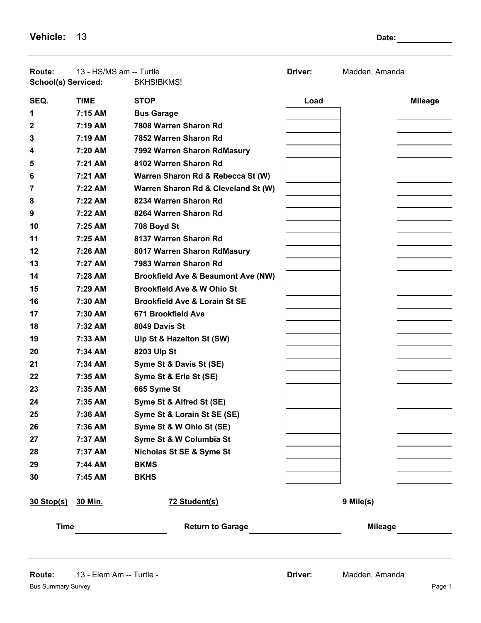**Vehicle:** 13 **Date:** 2010 **Date:** 2010 **Date:** 2010 **Date:** 2010 **Date:** 2010

| Route:<br>School(s) Serviced: | 13 - HS/MS am -- Turtle | <b>BKHS!BKMS!</b>                             | Driver: | Madden, Amanda |
|-------------------------------|-------------------------|-----------------------------------------------|---------|----------------|
| SEQ.                          | <b>TIME</b>             | <b>STOP</b>                                   | Load    | <b>Mileage</b> |
| 1                             | 7:15 AM                 | <b>Bus Garage</b>                             |         |                |
| 2                             | 7:19 AM                 | 7808 Warren Sharon Rd                         |         |                |
| 3                             | 7:19 AM                 | 7852 Warren Sharon Rd                         |         |                |
| 4                             | 7:20 AM                 | 7992 Warren Sharon RdMasury                   |         |                |
| 5                             | 7:21 AM                 | 8102 Warren Sharon Rd                         |         |                |
| 6                             | 7:21 AM                 | Warren Sharon Rd & Rebecca St (W)             |         |                |
| 7                             | 7:22 AM                 | Warren Sharon Rd & Cleveland St (W)           |         |                |
| 8                             | $7:22$ AM               | 8234 Warren Sharon Rd                         |         |                |
| 9                             | 7:22 AM                 | 8264 Warren Sharon Rd                         |         |                |
| 10                            | $7:25$ AM               | 708 Boyd St                                   |         |                |
| 11                            | 7:25 AM                 | 8137 Warren Sharon Rd                         |         |                |
| 12                            | 7:26 AM                 | 8017 Warren Sharon RdMasury                   |         |                |
| 13                            | 7:27 AM                 | 7983 Warren Sharon Rd                         |         |                |
| 14                            | 7:28 AM                 | <b>Brookfield Ave &amp; Beaumont Ave (NW)</b> |         |                |
| 15                            | 7:29 AM                 | <b>Brookfield Ave &amp; W Ohio St</b>         |         |                |
| 16                            | 7:30 AM                 | <b>Brookfield Ave &amp; Lorain St SE</b>      |         |                |
| 17                            | 7:30 AM                 | 671 Brookfield Ave                            |         |                |
| 18                            | 7:32 AM                 | 8049 Davis St                                 |         |                |
| 19                            | 7:33 AM                 | Ulp St & Hazelton St (SW)                     |         |                |
| 20                            | 7:34 AM                 | 8203 Ulp St                                   |         |                |
| 21                            | 7:34 AM                 | Syme St & Davis St (SE)                       |         |                |
| 22                            | 7:35 AM                 | Syme St & Erie St (SE)                        |         |                |
| 23                            | 7:35 AM                 | 665 Syme St                                   |         |                |
| 24                            | 7:35 AM                 | Syme St & Alfred St (SE)                      |         |                |
| 25                            | 7:36 AM                 | Syme St & Lorain St SE (SE)                   |         |                |
| 26                            | 7:36 AM                 | Syme St & W Ohio St (SE)                      |         |                |
| 27                            | 7:37 AM                 | Syme St & W Columbia St                       |         |                |
| 28                            | 7:37 AM                 | Nicholas St SE & Syme St                      |         |                |
| 29                            | 7:44 AM                 | <b>BKMS</b>                                   |         |                |
| 30                            | 7:45 AM                 | <b>BKHS</b>                                   |         |                |
| <u>30 Stop(s)</u>             | 30 Min.                 | 72 Student(s)                                 |         | 9 Mile(s)      |
| <b>Time</b>                   |                         | <b>Return to Garage</b>                       |         | <b>Mileage</b> |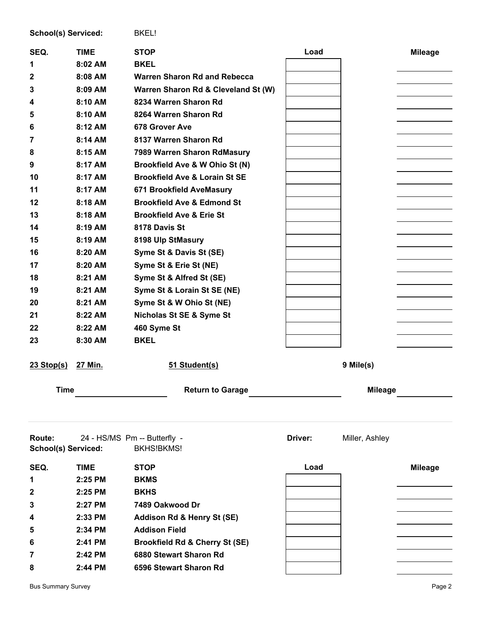| School(s) Serviced: |             | BKEL!                                     |         |                |                |
|---------------------|-------------|-------------------------------------------|---------|----------------|----------------|
| SEQ.                | <b>TIME</b> | <b>STOP</b>                               | Load    |                | <b>Mileage</b> |
| 1                   | $8:02$ AM   | <b>BKEL</b>                               |         |                |                |
| 2                   | 8:08 AM     | <b>Warren Sharon Rd and Rebecca</b>       |         |                |                |
| 3                   | 8:09 AM     | Warren Sharon Rd & Cleveland St (W)       |         |                |                |
| 4                   | 8:10 AM     | 8234 Warren Sharon Rd                     |         |                |                |
| 5                   | 8:10 AM     | 8264 Warren Sharon Rd                     |         |                |                |
| 6                   | 8:12 AM     | <b>678 Grover Ave</b>                     |         |                |                |
| 7                   | 8:14 AM     | 8137 Warren Sharon Rd                     |         |                |                |
| 8                   | 8:15 AM     | 7989 Warren Sharon RdMasury               |         |                |                |
| 9                   | 8:17 AM     | Brookfield Ave & W Ohio St (N)            |         |                |                |
| 10                  | 8:17 AM     | <b>Brookfield Ave &amp; Lorain St SE</b>  |         |                |                |
| 11                  | 8:17 AM     | 671 Brookfield AveMasury                  |         |                |                |
| 12                  | 8:18 AM     | <b>Brookfield Ave &amp; Edmond St</b>     |         |                |                |
| 13                  | 8:18 AM     | <b>Brookfield Ave &amp; Erie St</b>       |         |                |                |
| 14                  | 8:19 AM     | 8178 Davis St                             |         |                |                |
| 15                  | 8:19 AM     | 8198 Ulp StMasury                         |         |                |                |
| 16                  | 8:20 AM     | Syme St & Davis St (SE)                   |         |                |                |
| 17                  | 8:20 AM     | Syme St & Erie St (NE)                    |         |                |                |
| 18                  | 8:21 AM     | Syme St & Alfred St (SE)                  |         |                |                |
| 19                  | 8:21 AM     | Syme St & Lorain St SE (NE)               |         |                |                |
| 20                  | 8:21 AM     | Syme St & W Ohio St (NE)                  |         |                |                |
| 21                  | 8:22 AM     | Nicholas St SE & Syme St                  |         |                |                |
| 22                  | 8:22 AM     | 460 Syme St                               |         |                |                |
| 23                  | 8:30 AM     | <b>BKEL</b>                               |         |                |                |
|                     |             |                                           |         |                |                |
| $23$ Stop(s)        | 27 Min.     | 51 Student(s)                             |         | 9 Mile(s)      |                |
|                     |             |                                           |         |                |                |
| <b>Time</b>         |             | <b>Return to Garage</b>                   |         | <b>Mileage</b> |                |
|                     |             |                                           |         |                |                |
|                     |             |                                           |         |                |                |
| Route:              |             | 24 - HS/MS Pm -- Butterfly -              | Driver: | Miller, Ashley |                |
| School(s) Serviced: |             | <b>BKHS!BKMS!</b>                         |         |                |                |
| SEQ.                | <b>TIME</b> | <b>STOP</b>                               | Load    |                | <b>Mileage</b> |
| 1                   | 2:25 PM     | <b>BKMS</b>                               |         |                |                |
| 2                   | 2:25 PM     | <b>BKHS</b>                               |         |                |                |
| 3                   | 2:27 PM     | 7489 Oakwood Dr                           |         |                |                |
| 4                   | 2:33 PM     | Addison Rd & Henry St (SE)                |         |                |                |
| 5                   | 2:34 PM     | <b>Addison Field</b>                      |         |                |                |
| 6                   | 2:41 PM     | <b>Brookfield Rd &amp; Cherry St (SE)</b> |         |                |                |
| 7                   | 2:42 PM     | 6880 Stewart Sharon Rd                    |         |                |                |
| 8                   | 2:44 PM     | 6596 Stewart Sharon Rd                    |         |                |                |
|                     |             |                                           |         |                |                |

Bus Summary Survey **Page 2**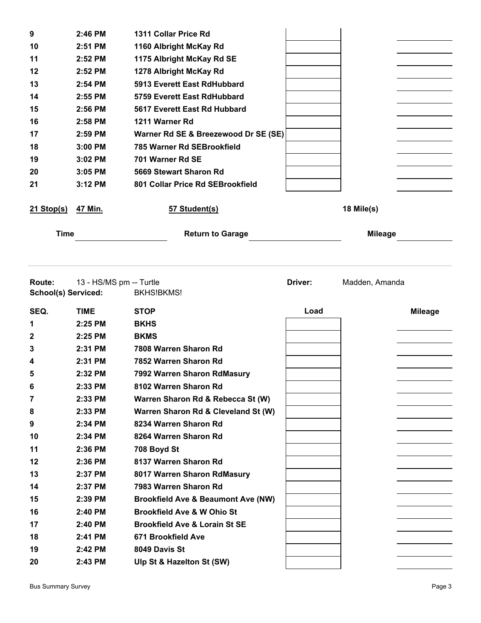| 9                             | 2:46 PM                 | 1311 Collar Price Rd                          |         |                |                |
|-------------------------------|-------------------------|-----------------------------------------------|---------|----------------|----------------|
| 10                            | 2:51 PM                 | 1160 Albright McKay Rd                        |         |                |                |
| 11                            | 2:52 PM                 | 1175 Albright McKay Rd SE                     |         |                |                |
| 12                            | 2:52 PM                 | 1278 Albright McKay Rd                        |         |                |                |
| 13                            | 2:54 PM                 | 5913 Everett East RdHubbard                   |         |                |                |
| 14                            | 2:55 PM                 | 5759 Everett East RdHubbard                   |         |                |                |
| 15                            | 2:56 PM                 | 5617 Everett East Rd Hubbard                  |         |                |                |
| 16                            | 2:58 PM                 | 1211 Warner Rd                                |         |                |                |
| 17                            | 2:59 PM                 | Warner Rd SE & Breezewood Dr SE (SE)          |         |                |                |
| 18                            | 3:00 PM                 | 785 Warner Rd SEBrookfield                    |         |                |                |
| 19                            | 3:02 PM                 | 701 Warner Rd SE                              |         |                |                |
| 20                            | 3:05 PM                 | 5669 Stewart Sharon Rd                        |         |                |                |
| 21                            | 3:12 PM                 | 801 Collar Price Rd SEBrookfield              |         |                |                |
| $21$ Stop(s)                  | 47 Min.                 | 57 Student(s)                                 |         | 18 Mile(s)     |                |
| <b>Time</b>                   |                         | <b>Return to Garage</b>                       |         | <b>Mileage</b> |                |
| Route:<br>School(s) Serviced: | 13 - HS/MS pm -- Turtle | <b>BKHS!BKMS!</b>                             | Driver: | Madden, Amanda |                |
|                               |                         |                                               |         |                |                |
| SEQ.                          | <b>TIME</b>             | <b>STOP</b>                                   | Load    |                | <b>Mileage</b> |
| 1                             | 2:25 PM                 | <b>BKHS</b>                                   |         |                |                |
| 2                             | 2:25 PM                 | <b>BKMS</b>                                   |         |                |                |
| 3                             | 2:31 PM                 | 7808 Warren Sharon Rd                         |         |                |                |
| 4                             | 2:31 PM                 | 7852 Warren Sharon Rd                         |         |                |                |
| 5                             | 2:32 PM                 | 7992 Warren Sharon RdMasury                   |         |                |                |
| 6                             | 2:33 PM                 | 8102 Warren Sharon Rd                         |         |                |                |
| 7                             | 2:33 PM                 | Warren Sharon Rd & Rebecca St (W)             |         |                |                |
| 8                             | 2:33 PM                 | Warren Sharon Rd & Cleveland St (W)           |         |                |                |
| 9                             | 2:34 PM                 | 8234 Warren Sharon Rd                         |         |                |                |
| 10                            | 2:34 PM                 | 8264 Warren Sharon Rd                         |         |                |                |
| 11                            | 2:36 PM                 | 708 Boyd St                                   |         |                |                |
| 12                            | 2:36 PM                 | 8137 Warren Sharon Rd                         |         |                |                |
| 13                            | 2:37 PM                 | 8017 Warren Sharon RdMasury                   |         |                |                |
| 14                            | 2:37 PM                 | 7983 Warren Sharon Rd                         |         |                |                |
| 15                            | $2:39$ PM               | <b>Brookfield Ave &amp; Beaumont Ave (NW)</b> |         |                |                |
| 16                            | 2:40 PM                 | <b>Brookfield Ave &amp; W Ohio St</b>         |         |                |                |
| 17                            | 2:40 PM                 | <b>Brookfield Ave &amp; Lorain St SE</b>      |         |                |                |
| 18                            | 2:41 PM                 | 671 Brookfield Ave                            |         |                |                |
| 19<br>20                      | 2:42 PM<br>2:43 PM      | 8049 Davis St<br>Ulp St & Hazelton St (SW)    |         |                |                |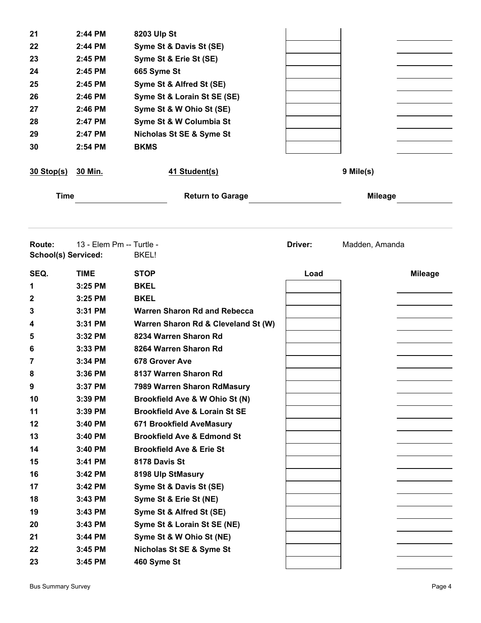| 21                                          | 2:44 PM                  | 8203 Ulp St                              |         |                |                |
|---------------------------------------------|--------------------------|------------------------------------------|---------|----------------|----------------|
| 22                                          | 2:44 PM                  | Syme St & Davis St (SE)                  |         |                |                |
| 23                                          | 2:45 PM                  | Syme St & Erie St (SE)                   |         |                |                |
| 24                                          | 2:45 PM                  | 665 Syme St                              |         |                |                |
| 25                                          | 2:45 PM                  | Syme St & Alfred St (SE)                 |         |                |                |
| 26                                          | 2:46 PM                  | Syme St & Lorain St SE (SE)              |         |                |                |
| 27                                          | 2:46 PM                  | Syme St & W Ohio St (SE)                 |         |                |                |
| 28                                          | 2:47 PM                  | Syme St & W Columbia St                  |         |                |                |
| 29                                          | 2:47 PM                  | Nicholas St SE & Syme St                 |         |                |                |
| 30                                          | 2:54 PM                  | <b>BKMS</b>                              |         |                |                |
|                                             |                          |                                          |         |                |                |
| $30$ Stop(s)                                | 30 Min.                  | 41 Student(s)                            |         | 9 Mile(s)      |                |
| <b>Time</b>                                 |                          | <b>Return to Garage</b>                  |         | <b>Mileage</b> |                |
|                                             |                          |                                          |         |                |                |
| <b>Route:</b><br><b>School(s) Serviced:</b> | 13 - Elem Pm -- Turtle - | <b>BKEL!</b>                             | Driver: | Madden, Amanda |                |
| SEQ.                                        | <b>TIME</b>              | <b>STOP</b>                              | Load    |                | <b>Mileage</b> |
| 1                                           | 3:25 PM                  | <b>BKEL</b>                              |         |                |                |
| 2                                           | 3:25 PM                  | <b>BKEL</b>                              |         |                |                |
| 3                                           | 3:31 PM                  | <b>Warren Sharon Rd and Rebecca</b>      |         |                |                |
| 4                                           | 3:31 PM                  | Warren Sharon Rd & Cleveland St (W)      |         |                |                |
| 5                                           | 3:32 PM                  | 8234 Warren Sharon Rd                    |         |                |                |
| 6                                           | 3:33 PM                  | 8264 Warren Sharon Rd                    |         |                |                |
| 7                                           | 3:34 PM                  | 678 Grover Ave                           |         |                |                |
| 8                                           | 3:36 PM                  | 8137 Warren Sharon Rd                    |         |                |                |
| 9                                           | 3:37 PM                  | 7989 Warren Sharon RdMasury              |         |                |                |
| 10                                          | 3:39 PM                  | Brookfield Ave & W Ohio St (N)           |         |                |                |
| 11                                          | 3:39 PM                  | <b>Brookfield Ave &amp; Lorain St SE</b> |         |                |                |
| 12                                          | 3:40 PM                  | 671 Brookfield AveMasury                 |         |                |                |
| 13                                          | 3:40 PM                  | <b>Brookfield Ave &amp; Edmond St</b>    |         |                |                |
| 14                                          | 3:40 PM                  | <b>Brookfield Ave &amp; Erie St</b>      |         |                |                |
| 15                                          | 3:41 PM                  | 8178 Davis St                            |         |                |                |
| 16                                          | 3:42 PM                  | 8198 Ulp StMasury                        |         |                |                |
| 17                                          | 3:42 PM                  | Syme St & Davis St (SE)                  |         |                |                |
| 18                                          | 3:43 PM                  | Syme St & Erie St (NE)                   |         |                |                |
| 19                                          | 3:43 PM                  | Syme St & Alfred St (SE)                 |         |                |                |
| 20                                          | 3:43 PM                  | Syme St & Lorain St SE (NE)              |         |                |                |
| 21                                          | 3:44 PM                  | Syme St & W Ohio St (NE)                 |         |                |                |
| 22                                          | 3:45 PM                  | Nicholas St SE & Syme St                 |         |                |                |
| 23                                          | 3:45 PM                  | 460 Syme St                              |         |                |                |
|                                             |                          |                                          |         |                |                |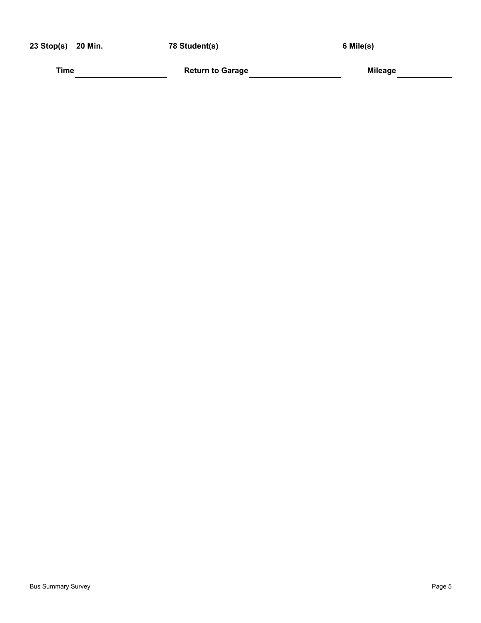| 23 Stop(s)<br>20 Min. | 78 Student(s)           | 6 Mile(s)      |
|-----------------------|-------------------------|----------------|
| Time                  | <b>Return to Garage</b> | <b>Mileage</b> |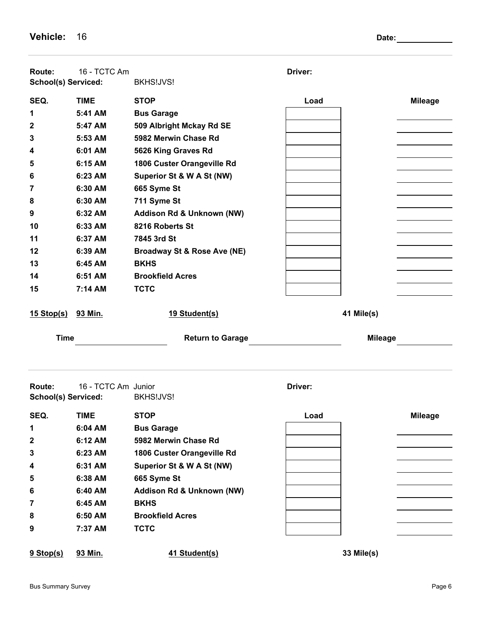| Route:<br>School(s) Serviced: | 16 - TCTC Am        | BKHS!JVS!                              | Driver:        |                |
|-------------------------------|---------------------|----------------------------------------|----------------|----------------|
| SEQ.                          | <b>TIME</b>         | <b>STOP</b>                            | Load           | <b>Mileage</b> |
| 1                             | 5:41 AM             | <b>Bus Garage</b>                      |                |                |
| 2                             | 5:47 AM             | 509 Albright Mckay Rd SE               |                |                |
| 3                             | 5:53 AM             | 5982 Merwin Chase Rd                   |                |                |
| 4                             | 6:01 AM             | 5626 King Graves Rd                    |                |                |
| 5                             | 6:15 AM             | 1806 Custer Orangeville Rd             |                |                |
| 6                             | 6:23 AM             | Superior St & W A St (NW)              |                |                |
| 7                             | 6:30 AM             | 665 Syme St                            |                |                |
| 8                             | 6:30 AM             | 711 Syme St                            |                |                |
| 9                             | 6:32 AM             | Addison Rd & Unknown (NW)              |                |                |
| 10                            | 6:33 AM             | 8216 Roberts St                        |                |                |
| 11                            | 6:37 AM             | 7845 3rd St                            |                |                |
| 12                            | 6:39 AM             | <b>Broadway St &amp; Rose Ave (NE)</b> |                |                |
| 13                            | 6:45 AM             | <b>BKHS</b>                            |                |                |
| 14                            | 6:51 AM             | <b>Brookfield Acres</b>                |                |                |
| 15                            | 7:14 AM             | <b>TCTC</b>                            |                |                |
| <u>15 Stop(s)</u>             | 93 Min.             | 19 Student(s)                          | 41 Mile(s)     |                |
| <b>Time</b>                   |                     | <b>Return to Garage</b>                | <b>Mileage</b> |                |
| Route:<br>School(s) Serviced: | 16 - TCTC Am Junior | BKHS!JVS!                              | Driver:        |                |
| SEQ.                          | TIME                | <b>STOP</b>                            | Load           | <b>Mileage</b> |
| 1                             | 6:04 AM             | <b>Bus Garage</b>                      |                |                |
| 2                             | 6:12 AM             | 5982 Merwin Chase Rd                   |                |                |
| 3                             | 6:23 AM             | 1806 Custer Orangeville Rd             |                |                |
| 4                             | 6:31 AM             | Superior St & W A St (NW)              |                |                |
| 5                             | 6:38 AM             | 665 Syme St                            |                |                |
| 6                             | 6:40 AM             | Addison Rd & Unknown (NW)              |                |                |
| 7                             | 6:45 AM             | <b>BKHS</b>                            |                |                |
| 8                             | 6:50 AM             | <b>Brookfield Acres</b>                |                |                |
| 9                             | 7:37 AM             | <b>TCTC</b>                            |                |                |
| $9$ Stop(s)                   | 93 Min.             | 41 Student(s)                          | 33 Mile(s)     |                |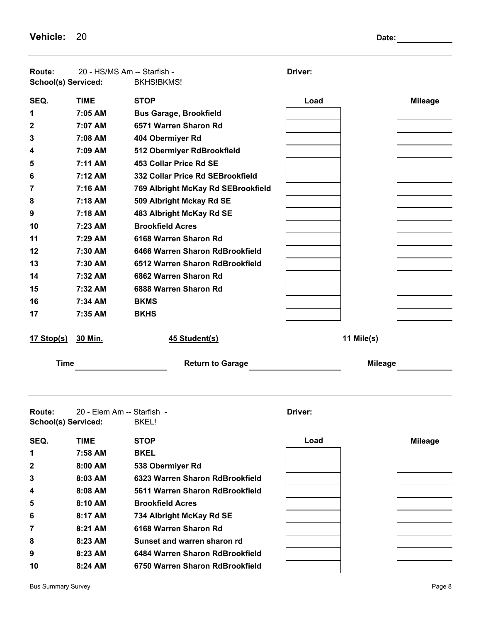**Vehicle:** 20 **Date:** 20 **Date:** 20 **Date:** 20 **Date:** 20 **Date:** 20 **Date:** 20 **Date:** 20 **Date:** 20 **Date:** 20 **Date:** 20 **Date:** 20 **Date:** 20 **Date:** 20 **Date:** 20 **Date:** 20 **Date:** 20 **Date:** 20 **Date:** 20 **Date:** 20

| Route:<br>School(s) Serviced:        | 20 - HS/MS Am -- Starfish - | BKHS!BKMS!                         | Driver:        |                |
|--------------------------------------|-----------------------------|------------------------------------|----------------|----------------|
| SEQ.                                 | <b>TIME</b>                 | <b>STOP</b>                        | Load           | <b>Mileage</b> |
| 1                                    | 7:05 AM                     | <b>Bus Garage, Brookfield</b>      |                |                |
| 2                                    | 7:07 AM                     | 6571 Warren Sharon Rd              |                |                |
| 3                                    | 7:08 AM                     | 404 Obermiyer Rd                   |                |                |
| 4                                    | 7:09 AM                     | 512 Obermiyer RdBrookfield         |                |                |
| 5                                    | 7:11 AM                     | 453 Collar Price Rd SE             |                |                |
| 6                                    | 7:12 AM                     | 332 Collar Price Rd SEBrookfield   |                |                |
| 7                                    | 7:16 AM                     | 769 Albright McKay Rd SEBrookfield |                |                |
| 8                                    | 7:18 AM                     | 509 Albright Mckay Rd SE           |                |                |
| 9                                    | 7:18 AM                     | 483 Albright McKay Rd SE           |                |                |
| 10                                   | 7:23 AM                     | <b>Brookfield Acres</b>            |                |                |
| 11                                   | 7:29 AM                     | 6168 Warren Sharon Rd              |                |                |
| 12                                   | 7:30 AM                     | 6466 Warren Sharon RdBrookfield    |                |                |
| 13                                   | 7:30 AM                     | 6512 Warren Sharon RdBrookfield    |                |                |
| 14                                   | 7:32 AM                     | 6862 Warren Sharon Rd              |                |                |
| 15                                   | 7:32 AM                     | 6888 Warren Sharon Rd              |                |                |
| 16                                   | 7:34 AM                     | <b>BKMS</b>                        |                |                |
| 17                                   | 7:35 AM                     | <b>BKHS</b>                        |                |                |
| 17 Stop(s)                           | 30 Min.                     | 45 Student(s)                      | 11 Mile(s)     |                |
| <b>Time</b>                          |                             | <b>Return to Garage</b>            | <b>Mileage</b> |                |
| Route:<br><b>School(s) Serviced:</b> | 20 - Elem Am -- Starfish -  |                                    | Driver:        |                |
|                                      |                             | BKEL!                              |                |                |
| SEQ.                                 | <b>TIME</b>                 | <b>STOP</b>                        | Load           | <b>Mileage</b> |
| 1                                    | 7:58 AM                     | <b>BKEL</b>                        |                |                |
| 2                                    | 8:00 AM                     | 538 Obermiyer Rd                   |                |                |
| 3                                    | 8:03 AM                     | 6323 Warren Sharon RdBrookfield    |                |                |
| 4                                    | 8:08 AM                     | 5611 Warren Sharon RdBrookfield    |                |                |
| 5                                    | 8:10 AM                     | <b>Brookfield Acres</b>            |                |                |
| 6                                    | 8:17 AM                     | 734 Albright McKay Rd SE           |                |                |
| 7                                    | 8:21 AM                     | 6168 Warren Sharon Rd              |                |                |
| 8                                    | 8:23 AM                     | Sunset and warren sharon rd        |                |                |
| 9                                    | 8:23 AM                     | 6484 Warren Sharon RdBrookfield    |                |                |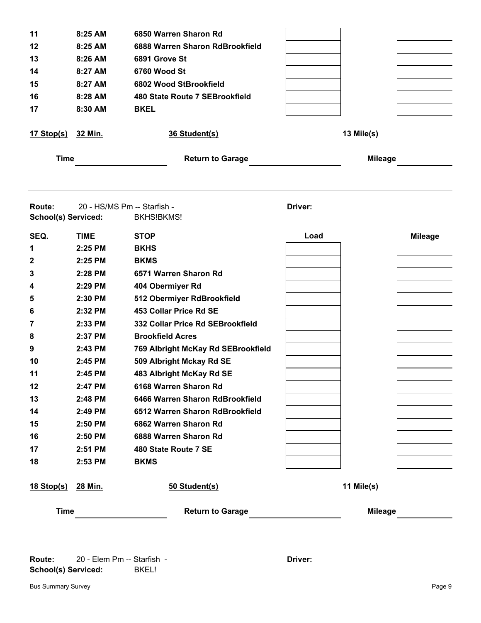| $8:25$ AM   |                                                                                       |                                           |                |
|-------------|---------------------------------------------------------------------------------------|-------------------------------------------|----------------|
|             | 6850 Warren Sharon Rd                                                                 |                                           |                |
| 8:25 AM     | 6888 Warren Sharon RdBrookfield                                                       |                                           |                |
| 8:26 AM     | 6891 Grove St                                                                         |                                           |                |
| 8:27 AM     | 6760 Wood St                                                                          |                                           |                |
| 8:27 AM     | 6802 Wood StBrookfield                                                                |                                           |                |
| 8:28 AM     | 480 State Route 7 SEBrookfield                                                        |                                           |                |
| 8:30 AM     | <b>BKEL</b>                                                                           |                                           |                |
|             | 36 Student(s)                                                                         |                                           | 13 Mile(s)     |
|             | <b>Return to Garage</b>                                                               |                                           | <b>Mileage</b> |
|             |                                                                                       |                                           |                |
|             |                                                                                       | Driver:                                   |                |
|             |                                                                                       |                                           |                |
| <b>TIME</b> | <b>STOP</b>                                                                           | Load                                      | <b>Mileage</b> |
| 2:25 PM     | <b>BKHS</b>                                                                           |                                           |                |
| 2:25 PM     | <b>BKMS</b>                                                                           |                                           |                |
| 2:28 PM     | 6571 Warren Sharon Rd                                                                 |                                           |                |
| 2:29 PM     | 404 Obermiyer Rd                                                                      |                                           |                |
| 2:30 PM     | 512 Obermiyer RdBrookfield                                                            |                                           |                |
| 2:32 PM     | 453 Collar Price Rd SE                                                                |                                           |                |
| 2:33 PM     | 332 Collar Price Rd SEBrookfield                                                      |                                           |                |
| 2:37 PM     | <b>Brookfield Acres</b>                                                               |                                           |                |
| 2:43 PM     | 769 Albright McKay Rd SEBrookfield                                                    |                                           |                |
| 2:45 PM     | 509 Albright Mckay Rd SE                                                              |                                           |                |
| 2:45 PM     | 483 Albright McKay Rd SE                                                              |                                           |                |
| 2:47 PM     | 6168 Warren Sharon Rd                                                                 |                                           |                |
| 2:48 PM     | 6466 Warren Sharon RdBrookfield                                                       |                                           |                |
| 2:49 PM     | 6512 Warren Sharon RdBrookfield                                                       |                                           |                |
| 2:50 PM     | 6862 Warren Sharon Rd                                                                 |                                           |                |
| 2:50 PM     | 6888 Warren Sharon Rd                                                                 |                                           |                |
| 2:51 PM     | 480 State Route 7 SE                                                                  |                                           |                |
| 2:53 PM     | <b>BKMS</b>                                                                           |                                           |                |
|             | 50 Student(s)                                                                         |                                           | 11 Mile(s)     |
|             |                                                                                       |                                           | <b>Mileage</b> |
|             | 32 Min.<br><b>Time</b><br><b>School(s) Serviced:</b><br><u>28 Min.</u><br><b>Time</b> | 20 - HS/MS Pm -- Starfish -<br>BKHS!BKMS! |                |

**Route:** 20 - Elem Pm -- Starfish - **Driver: Driver: Driver: School(s) Serviced:** BKEL!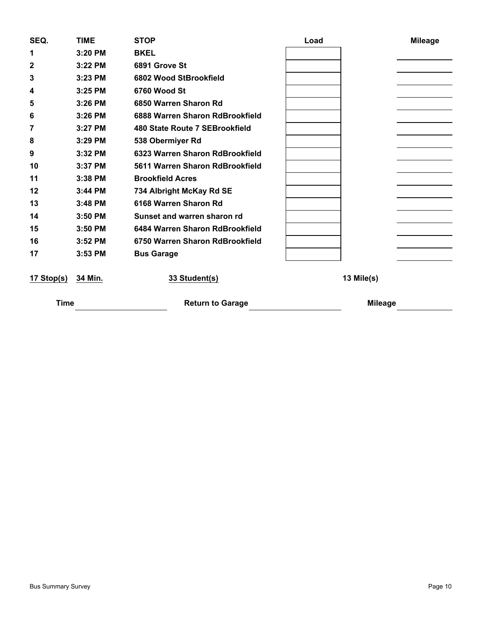| SEQ.         | <b>TIME</b> | <b>STOP</b>                     | Load | <b>Mileage</b> |
|--------------|-------------|---------------------------------|------|----------------|
| 1            | 3:20 PM     | <b>BKEL</b>                     |      |                |
| $\mathbf{2}$ | 3:22 PM     | 6891 Grove St                   |      |                |
| 3            | 3:23 PM     | 6802 Wood StBrookfield          |      |                |
| 4            | 3:25 PM     | 6760 Wood St                    |      |                |
| 5            | 3:26 PM     | 6850 Warren Sharon Rd           |      |                |
| 6            | 3:26 PM     | 6888 Warren Sharon RdBrookfield |      |                |
| 7            | $3:27$ PM   | 480 State Route 7 SEBrookfield  |      |                |
| 8            | 3:29 PM     | 538 Obermiyer Rd                |      |                |
| 9            | 3:32 PM     | 6323 Warren Sharon RdBrookfield |      |                |
| 10           | 3:37 PM     | 5611 Warren Sharon RdBrookfield |      |                |
| 11           | $3:38$ PM   | <b>Brookfield Acres</b>         |      |                |
| 12           | 3:44 PM     | 734 Albright McKay Rd SE        |      |                |
| 13           | $3:48$ PM   | 6168 Warren Sharon Rd           |      |                |
| 14           | $3:50$ PM   | Sunset and warren sharon rd     |      |                |
| 15           | 3:50 PM     | 6484 Warren Sharon RdBrookfield |      |                |
| 16           | 3:52 PM     | 6750 Warren Sharon RdBrookfield |      |                |
| 17           | 3:53 PM     | <b>Bus Garage</b>               |      |                |
| 17 Stop(s)   | 34 Min.     | 33 Student(s)                   |      | 13 Mile(s)     |
| <b>Time</b>  |             | <b>Return to Garage</b>         |      | <b>Mileage</b> |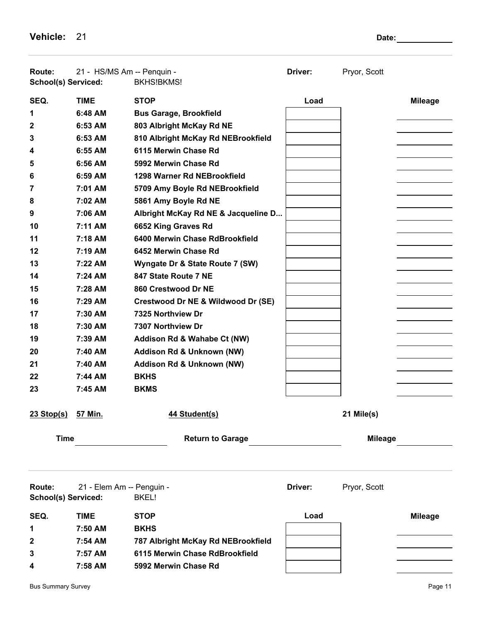**Vehicle:** 21 **Date:** 21 **Date:** 21

| <b>Route:</b><br><b>School(s) Serviced:</b> | 21 - HS/MS Am -- Penquin - | <b>BKHS!BKMS!</b>                   | Driver: | Pryor, Scott   |                |
|---------------------------------------------|----------------------------|-------------------------------------|---------|----------------|----------------|
| SEQ.                                        | <b>TIME</b>                | <b>STOP</b>                         | Load    |                | <b>Mileage</b> |
| 1                                           | 6:48 AM                    | <b>Bus Garage, Brookfield</b>       |         |                |                |
| 2                                           | 6:53 AM                    | 803 Albright McKay Rd NE            |         |                |                |
| 3                                           | 6:53 AM                    | 810 Albright McKay Rd NEBrookfield  |         |                |                |
| 4                                           | $6:55$ AM                  | 6115 Merwin Chase Rd                |         |                |                |
| 5                                           | 6:56 AM                    | 5992 Merwin Chase Rd                |         |                |                |
| 6                                           | 6:59 AM                    | 1298 Warner Rd NEBrookfield         |         |                |                |
| 7                                           | 7:01 AM                    | 5709 Amy Boyle Rd NEBrookfield      |         |                |                |
| 8                                           | 7:02 AM                    | 5861 Amy Boyle Rd NE                |         |                |                |
| 9                                           | 7:06 AM                    | Albright McKay Rd NE & Jacqueline D |         |                |                |
| 10                                          | 7:11 AM                    | 6652 King Graves Rd                 |         |                |                |
| 11                                          | 7:18 AM                    | 6400 Merwin Chase RdBrookfield      |         |                |                |
| 12                                          | 7:19 AM                    | 6452 Merwin Chase Rd                |         |                |                |
| 13                                          | $7:22$ AM                  | Wyngate Dr & State Route 7 (SW)     |         |                |                |
| 14                                          | $7:24$ AM                  | 847 State Route 7 NE                |         |                |                |
| 15                                          | 7:28 AM                    | 860 Crestwood Dr NE                 |         |                |                |
| 16                                          | 7:29 AM                    | Crestwood Dr NE & Wildwood Dr (SE)  |         |                |                |
| 17                                          | 7:30 AM                    | 7325 Northview Dr                   |         |                |                |
| 18                                          | 7:30 AM                    | 7307 Northview Dr                   |         |                |                |
| 19                                          | 7:39 AM                    | Addison Rd & Wahabe Ct (NW)         |         |                |                |
| 20                                          | 7:40 AM                    | Addison Rd & Unknown (NW)           |         |                |                |
| 21                                          | 7:40 AM                    | Addison Rd & Unknown (NW)           |         |                |                |
| 22                                          | 7:44 AM                    | <b>BKHS</b>                         |         |                |                |
| 23                                          | 7:45 AM                    | <b>BKMS</b>                         |         |                |                |
| 23 Stop(s) 57 Min.                          |                            | 44 Student(s)                       |         | 21 Mile(s)     |                |
| <b>Time</b>                                 |                            | <b>Return to Garage</b>             |         | <b>Mileage</b> |                |
|                                             |                            |                                     |         |                |                |
| Route:<br><b>School(s) Serviced:</b>        | 21 - Elem Am -- Penguin -  | BKEL!                               | Driver: | Pryor, Scott   |                |
| SEQ.                                        | <b>TIME</b>                | <b>STOP</b>                         | Load    |                | <b>Mileage</b> |
| 1                                           | 7:50 AM                    | <b>BKHS</b>                         |         |                |                |
| 2                                           | 7:54 AM                    | 787 Albright McKay Rd NEBrookfield  |         |                |                |
| 3                                           | 7:57 AM                    | 6115 Merwin Chase RdBrookfield      |         |                |                |
| 4                                           | 7:58 AM                    | 5992 Merwin Chase Rd                |         |                |                |
|                                             |                            |                                     |         |                |                |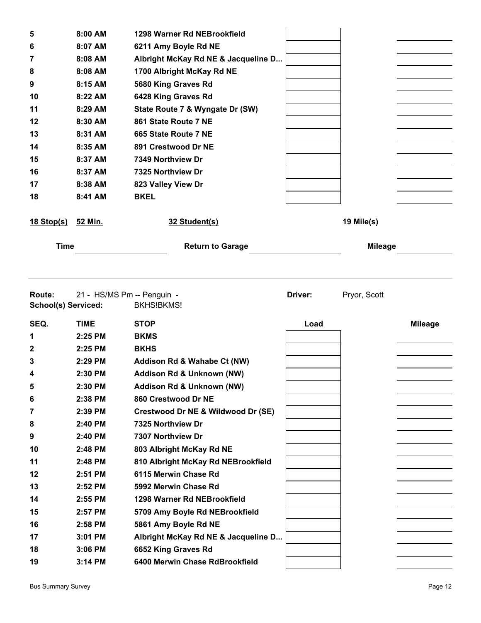| 5                 | $8:00$ AM | 1298 Warner Rd NEBrookfield         |                |  |
|-------------------|-----------|-------------------------------------|----------------|--|
| 6                 | 8:07 AM   | 6211 Amy Boyle Rd NE                |                |  |
| 7                 | $8:08$ AM | Albright McKay Rd NE & Jacqueline D |                |  |
| 8                 | 8:08 AM   | 1700 Albright McKay Rd NE           |                |  |
| 9                 | 8:15 AM   | 5680 King Graves Rd                 |                |  |
| 10                | 8:22 AM   | 6428 King Graves Rd                 |                |  |
| 11                | 8:29 AM   | State Route 7 & Wyngate Dr (SW)     |                |  |
| 12                | 8:30 AM   | 861 State Route 7 NE                |                |  |
| 13                | 8:31 AM   | 665 State Route 7 NE                |                |  |
| 14                | 8:35 AM   | 891 Crestwood Dr NE                 |                |  |
| 15                | 8:37 AM   | 7349 Northview Dr                   |                |  |
| 16                | 8:37 AM   | 7325 Northview Dr                   |                |  |
| 17                | 8:38 AM   | 823 Valley View Dr                  |                |  |
| 18                | 8:41 AM   | <b>BKEL</b>                         |                |  |
| <u>18 Stop(s)</u> | 52 Min.   | 32 Student(s)                       | 19 Mile(s)     |  |
| <b>Time</b>       |           | <b>Return to Garage</b>             | <b>Mileage</b> |  |

**Route:** 21 - HS/MS Pm -- Penguin - **Driver:** Pryor, Scott **School(s) Serviced:** BKHS!BKMS! **SEQ. TIME STOP Load Mileage 2:25 PM BKMS 2:25 PM BKHS 2:29 PM Addison Rd & Wahabe Ct (NW) 2:30 PM Addison Rd & Unknown (NW) 2:30 PM Addison Rd & Unknown (NW) 2:38 PM 860 Crestwood Dr NE 2:39 PM Crestwood Dr NE & Wildwood Dr (SE) 2:40 PM 7325 Northview Dr 2:40 PM 7307 Northview Dr 2:48 PM 803 Albright McKay Rd NE 2:48 PM 810 Albright McKay Rd NEBrookfield 2:51 PM 6115 Merwin Chase Rd 2:52 PM 5992 Merwin Chase Rd 2:55 PM 1298 Warner Rd NEBrookfield 2:57 PM 5709 Amy Boyle Rd NEBrookfield 2:58 PM 5861 Amy Boyle Rd NE 3:01 PM Albright McKay Rd NE & Jacqueline D... 3:06 PM 6652 King Graves Rd 3:14 PM 6400 Merwin Chase RdBrookfield**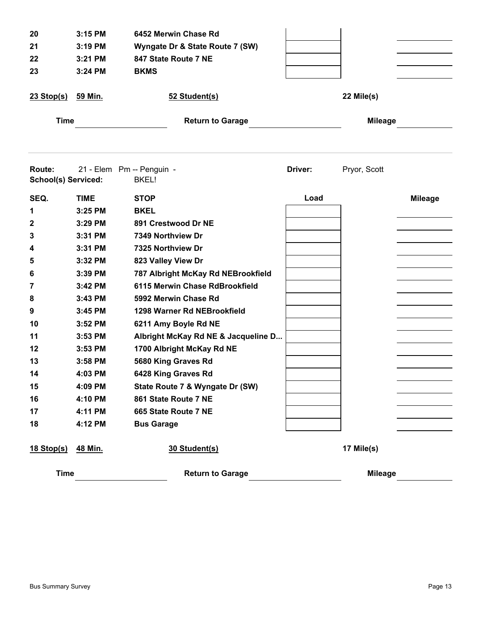| 20<br>21<br>22<br>23                 | 3:15 PM<br>3:19 PM<br>3:21 PM<br>3:24 PM | 6452 Merwin Chase Rd<br>Wyngate Dr & State Route 7 (SW)<br>847 State Route 7 NE<br><b>BKMS</b> |         |                |                |
|--------------------------------------|------------------------------------------|------------------------------------------------------------------------------------------------|---------|----------------|----------------|
| <u>23 Stop(s)</u>                    | <u>59 Min.</u>                           | 52 Student(s)                                                                                  |         | 22 Mile(s)     |                |
| <b>Time</b>                          |                                          | <b>Return to Garage</b>                                                                        |         | <b>Mileage</b> |                |
| Route:<br><b>School(s) Serviced:</b> |                                          | 21 - Elem Pm -- Penguin -<br><b>BKEL!</b>                                                      | Driver: | Pryor, Scott   |                |
| SEQ.                                 | <b>TIME</b>                              | <b>STOP</b>                                                                                    | Load    |                | <b>Mileage</b> |
| 1                                    | 3:25 PM                                  | <b>BKEL</b>                                                                                    |         |                |                |
| 2                                    | 3:29 PM                                  | 891 Crestwood Dr NE                                                                            |         |                |                |
| 3                                    | 3:31 PM                                  | 7349 Northview Dr                                                                              |         |                |                |
| 4                                    | 3:31 PM                                  | 7325 Northview Dr                                                                              |         |                |                |
| 5                                    | 3:32 PM                                  | 823 Valley View Dr                                                                             |         |                |                |
| 6                                    | 3:39 PM                                  | 787 Albright McKay Rd NEBrookfield                                                             |         |                |                |
| 7                                    | 3:42 PM                                  | 6115 Merwin Chase RdBrookfield                                                                 |         |                |                |
| 8                                    | 3:43 PM                                  | 5992 Merwin Chase Rd                                                                           |         |                |                |
| 9                                    | 3:45 PM                                  | 1298 Warner Rd NEBrookfield                                                                    |         |                |                |
| 10                                   | 3:52 PM                                  | 6211 Amy Boyle Rd NE                                                                           |         |                |                |
| 11                                   | 3:53 PM                                  | Albright McKay Rd NE & Jacqueline D                                                            |         |                |                |
| 12                                   | 3:53 PM                                  | 1700 Albright McKay Rd NE                                                                      |         |                |                |
| 13                                   | 3:58 PM                                  | 5680 King Graves Rd                                                                            |         |                |                |
| 14                                   | 4:03 PM                                  | 6428 King Graves Rd                                                                            |         |                |                |
| 15                                   | 4:09 PM                                  | State Route 7 & Wyngate Dr (SW)                                                                |         |                |                |
| 16                                   | 4:10 PM                                  | 861 State Route 7 NE                                                                           |         |                |                |
| 17                                   | 4:11 PM                                  | 665 State Route 7 NE                                                                           |         |                |                |
| 18                                   | 4:12 PM                                  | <b>Bus Garage</b>                                                                              |         |                |                |
| <u>18 Stop(s)</u>                    | 48 Min.                                  | 30 Student(s)                                                                                  |         | 17 Mile(s)     |                |
| <b>Time</b>                          |                                          | <b>Return to Garage</b>                                                                        |         | <b>Mileage</b> |                |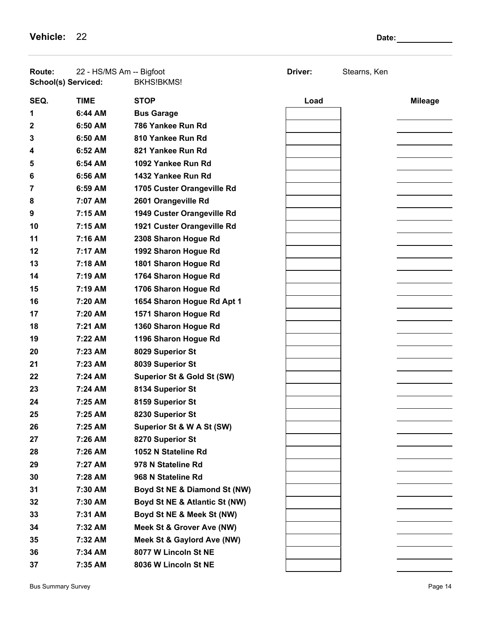**Vehicle:** 22 **Date:** 22 **Date:** 22 **Date:** 22 **Date:** 22 **Date:** 22 **Date:** 22 **Date:** 22 **Date:** 22 **Date:** 22 **Date:** 22 **Date:** 22 **Date:** 22 **Date:** 22 **Date:** 22 **Date:** 22 **Date:** 22 **Date:** 22 **Date:** 22 **Date:** 22

| Route:<br><b>School(s) Serviced:</b> | 22 - HS/MS Am -- Bigfoot | BKHS!BKMS!                            | Driver: | Stearns, Ken |                |
|--------------------------------------|--------------------------|---------------------------------------|---------|--------------|----------------|
| SEQ.                                 | <b>TIME</b>              | <b>STOP</b>                           | Load    |              | <b>Mileage</b> |
| 1                                    | 6:44 AM                  | <b>Bus Garage</b>                     |         |              |                |
| 2                                    | 6:50 AM                  | 786 Yankee Run Rd                     |         |              |                |
| 3                                    | 6:50 AM                  | 810 Yankee Run Rd                     |         |              |                |
| 4                                    | 6:52 AM                  | 821 Yankee Run Rd                     |         |              |                |
| 5                                    | 6:54 AM                  | 1092 Yankee Run Rd                    |         |              |                |
| 6                                    | 6:56 AM                  | 1432 Yankee Run Rd                    |         |              |                |
| 7                                    | 6:59 AM                  | 1705 Custer Orangeville Rd            |         |              |                |
| 8                                    | 7:07 AM                  | 2601 Orangeville Rd                   |         |              |                |
| 9                                    | 7:15 AM                  | 1949 Custer Orangeville Rd            |         |              |                |
| 10                                   | 7:15 AM                  | 1921 Custer Orangeville Rd            |         |              |                |
| 11                                   | 7:16 AM                  | 2308 Sharon Hogue Rd                  |         |              |                |
| 12                                   | 7:17 AM                  | 1992 Sharon Hogue Rd                  |         |              |                |
| 13                                   | 7:18 AM                  | 1801 Sharon Hogue Rd                  |         |              |                |
| 14                                   | 7:19 AM                  | 1764 Sharon Hogue Rd                  |         |              |                |
| 15                                   | 7:19 AM                  | 1706 Sharon Hogue Rd                  |         |              |                |
| 16                                   | 7:20 AM                  | 1654 Sharon Hogue Rd Apt 1            |         |              |                |
| 17                                   | 7:20 AM                  | 1571 Sharon Hogue Rd                  |         |              |                |
| 18                                   | 7:21 AM                  | 1360 Sharon Hogue Rd                  |         |              |                |
| 19                                   | 7:22 AM                  | 1196 Sharon Hogue Rd                  |         |              |                |
| 20                                   | 7:23 AM                  | 8029 Superior St                      |         |              |                |
| 21                                   | 7:23 AM                  | 8039 Superior St                      |         |              |                |
| 22                                   | 7:24 AM                  | <b>Superior St &amp; Gold St (SW)</b> |         |              |                |
| 23                                   | 7:24 AM                  | 8134 Superior St                      |         |              |                |
| 24                                   | 7:25 AM                  | 8159 Superior St                      |         |              |                |
| 25                                   | 7:25 AM                  | 8230 Superior St                      |         |              |                |
| 26                                   | 7:25 AM                  | Superior St & W A St (SW)             |         |              |                |
| 27                                   | 7:26 AM                  | 8270 Superior St                      |         |              |                |
| 28                                   | 7:26 AM                  | 1052 N Stateline Rd                   |         |              |                |
| 29                                   | 7:27 AM                  | 978 N Stateline Rd                    |         |              |                |
| 30                                   | 7:28 AM                  | 968 N Stateline Rd                    |         |              |                |
| 31                                   | 7:30 AM                  | Boyd St NE & Diamond St (NW)          |         |              |                |
| 32                                   | 7:30 AM                  | Boyd St NE & Atlantic St (NW)         |         |              |                |
| 33                                   | 7:31 AM                  | Boyd St NE & Meek St (NW)             |         |              |                |
| 34                                   | 7:32 AM                  | Meek St & Grover Ave (NW)             |         |              |                |
| 35                                   | 7:32 AM                  | Meek St & Gaylord Ave (NW)            |         |              |                |
| 36                                   | 7:34 AM                  | 8077 W Lincoln St NE                  |         |              |                |
| 37                                   | 7:35 AM                  | 8036 W Lincoln St NE                  |         |              |                |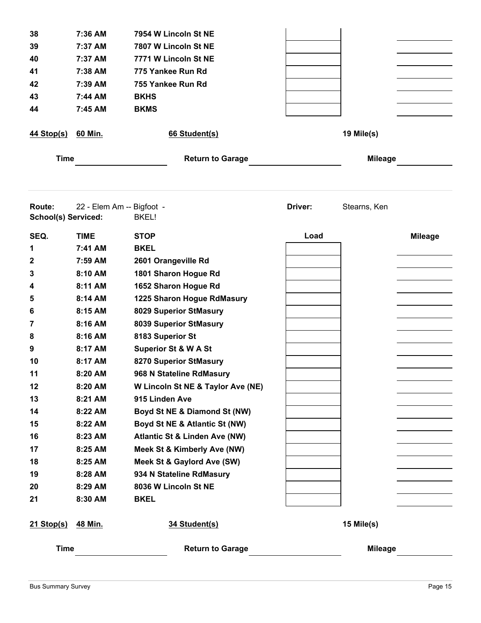| 38<br>39<br>40<br>41<br>42<br>43<br>44 | 7:36 AM<br>7:37 AM<br>7:37 AM<br>7:38 AM<br>7:39 AM<br>7:44 AM<br>7:45 AM | 7954 W Lincoln St NE<br>7807 W Lincoln St NE<br>7771 W Lincoln St NE<br>775 Yankee Run Rd<br>755 Yankee Run Rd<br><b>BKHS</b><br><b>BKMS</b> |         |                |                |
|----------------------------------------|---------------------------------------------------------------------------|----------------------------------------------------------------------------------------------------------------------------------------------|---------|----------------|----------------|
| <u>44 Stop(s)</u>                      | 60 Min.                                                                   | 66 Student(s)                                                                                                                                |         | 19 Mile(s)     |                |
| <b>Time</b>                            |                                                                           | <b>Return to Garage</b>                                                                                                                      |         | <b>Mileage</b> |                |
| Route:<br><b>School(s) Serviced:</b>   |                                                                           | 22 - Elem Am -- Bigfoot -<br><b>BKEL!</b>                                                                                                    | Driver: | Stearns, Ken   |                |
| SEQ.                                   | <b>TIME</b>                                                               | <b>STOP</b>                                                                                                                                  | Load    |                | <b>Mileage</b> |
| 1                                      | 7:41 AM                                                                   | <b>BKEL</b>                                                                                                                                  |         |                |                |
| 2                                      | 7:59 AM                                                                   | 2601 Orangeville Rd                                                                                                                          |         |                |                |
| 3                                      | 8:10 AM                                                                   | 1801 Sharon Hogue Rd                                                                                                                         |         |                |                |
| 4                                      | 8:11 AM                                                                   | 1652 Sharon Hogue Rd                                                                                                                         |         |                |                |
| 5                                      | 8:14 AM                                                                   | 1225 Sharon Hogue RdMasury                                                                                                                   |         |                |                |
| 6                                      | 8:15 AM                                                                   | 8029 Superior StMasury                                                                                                                       |         |                |                |
| 7                                      | 8:16 AM                                                                   | 8039 Superior StMasury                                                                                                                       |         |                |                |
| 8                                      | 8:16 AM                                                                   | 8183 Superior St                                                                                                                             |         |                |                |
| 9                                      | 8:17 AM                                                                   | <b>Superior St &amp; W A St</b>                                                                                                              |         |                |                |
| 10                                     | 8:17 AM                                                                   | 8270 Superior StMasury                                                                                                                       |         |                |                |
| 11                                     | 8:20 AM                                                                   | 968 N Stateline RdMasury                                                                                                                     |         |                |                |
| 12                                     | 8:20 AM                                                                   | W Lincoln St NE & Taylor Ave (NE)                                                                                                            |         |                |                |
| 13                                     | 8:21 AM                                                                   | 915 Linden Ave                                                                                                                               |         |                |                |
| 14                                     | 8:22 AM                                                                   | Boyd St NE & Diamond St (NW)                                                                                                                 |         |                |                |
| 15                                     | 8:22 AM                                                                   | Boyd St NE & Atlantic St (NW)                                                                                                                |         |                |                |
| 16                                     | 8:23 AM                                                                   | <b>Atlantic St &amp; Linden Ave (NW)</b>                                                                                                     |         |                |                |
| 17                                     | 8:25 AM                                                                   | Meek St & Kimberly Ave (NW)                                                                                                                  |         |                |                |
| 18                                     | 8:25 AM                                                                   | Meek St & Gaylord Ave (SW)                                                                                                                   |         |                |                |
| 19                                     | 8:28 AM                                                                   | 934 N Stateline RdMasury                                                                                                                     |         |                |                |
| 20                                     | 8:29 AM                                                                   | 8036 W Lincoln St NE                                                                                                                         |         |                |                |
| 21                                     | 8:30 AM                                                                   | <b>BKEL</b>                                                                                                                                  |         |                |                |
| <u>21 Stop(s)</u>                      | 48 Min.                                                                   | 34 Student(s)                                                                                                                                |         | 15 Mile(s)     |                |
| <b>Time</b>                            |                                                                           | <b>Return to Garage</b>                                                                                                                      |         | <b>Mileage</b> |                |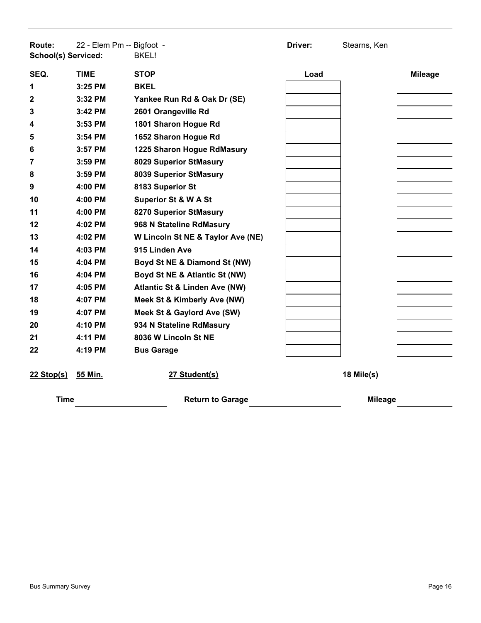| <b>Route:</b><br>School(s) Serviced: | 22 - Elem Pm -- Bigfoot - | <b>BKEL!</b>                             | Driver: | Stearns, Ken   |                |
|--------------------------------------|---------------------------|------------------------------------------|---------|----------------|----------------|
| SEQ.                                 | <b>TIME</b>               | <b>STOP</b>                              | Load    |                | <b>Mileage</b> |
| 1                                    | $3:25$ PM                 | <b>BKEL</b>                              |         |                |                |
| $\mathbf{2}$                         | 3:32 PM                   | Yankee Run Rd & Oak Dr (SE)              |         |                |                |
| 3                                    | 3:42 PM                   | 2601 Orangeville Rd                      |         |                |                |
| 4                                    | 3:53 PM                   | 1801 Sharon Hogue Rd                     |         |                |                |
| 5                                    | 3:54 PM                   | 1652 Sharon Hogue Rd                     |         |                |                |
| 6                                    | 3:57 PM                   | 1225 Sharon Hogue RdMasury               |         |                |                |
| 7                                    | $3:59$ PM                 | 8029 Superior StMasury                   |         |                |                |
| 8                                    | $3:59$ PM                 | 8039 Superior StMasury                   |         |                |                |
| 9                                    | 4:00 PM                   | 8183 Superior St                         |         |                |                |
| 10                                   | 4:00 PM                   | <b>Superior St &amp; W A St</b>          |         |                |                |
| 11                                   | 4:00 PM                   | 8270 Superior StMasury                   |         |                |                |
| 12                                   | 4:02 PM                   | 968 N Stateline RdMasury                 |         |                |                |
| 13                                   | 4:02 PM                   | W Lincoln St NE & Taylor Ave (NE)        |         |                |                |
| 14                                   | 4:03 PM                   | 915 Linden Ave                           |         |                |                |
| 15                                   | 4:04 PM                   | Boyd St NE & Diamond St (NW)             |         |                |                |
| 16                                   | 4:04 PM                   | Boyd St NE & Atlantic St (NW)            |         |                |                |
| 17                                   | 4:05 PM                   | <b>Atlantic St &amp; Linden Ave (NW)</b> |         |                |                |
| 18                                   | 4:07 PM                   | Meek St & Kimberly Ave (NW)              |         |                |                |
| 19                                   | 4:07 PM                   | Meek St & Gaylord Ave (SW)               |         |                |                |
| 20                                   | 4:10 PM                   | 934 N Stateline RdMasury                 |         |                |                |
| 21                                   | 4:11 PM                   | 8036 W Lincoln St NE                     |         |                |                |
| 22                                   | 4:19 PM                   | <b>Bus Garage</b>                        |         |                |                |
| $22$ Stop(s)                         | 55 Min.                   | 27 Student(s)                            |         | 18 Mile(s)     |                |
| <b>Time</b>                          |                           | <b>Return to Garage</b>                  |         | <b>Mileage</b> |                |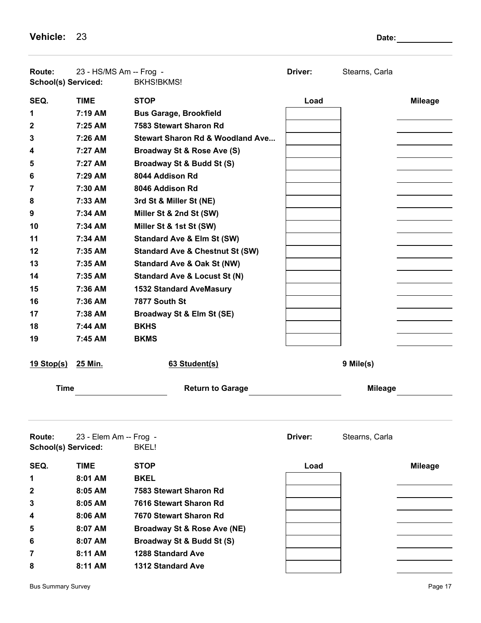**Vehicle:** 23 **Date:** 23

| Route:<br>School(s) Serviced:        | 23 - HS/MS Am -- Frog - | <b>BKHS!BKMS!</b>                           | Driver: | Stearns, Carla |                |
|--------------------------------------|-------------------------|---------------------------------------------|---------|----------------|----------------|
| SEQ.                                 | <b>TIME</b>             | <b>STOP</b>                                 | Load    |                | <b>Mileage</b> |
| 1                                    | 7:19 AM                 | <b>Bus Garage, Brookfield</b>               |         |                |                |
| $\mathbf{2}$                         | $7:25$ AM               | 7583 Stewart Sharon Rd                      |         |                |                |
| 3                                    | 7:26 AM                 | <b>Stewart Sharon Rd &amp; Woodland Ave</b> |         |                |                |
| 4                                    | 7:27 AM                 | Broadway St & Rose Ave (S)                  |         |                |                |
| 5                                    | 7:27 AM                 | Broadway St & Budd St (S)                   |         |                |                |
| 6                                    | 7:29 AM                 | 8044 Addison Rd                             |         |                |                |
| 7                                    | 7:30 AM                 | 8046 Addison Rd                             |         |                |                |
| 8                                    | 7:33 AM                 | 3rd St & Miller St (NE)                     |         |                |                |
| 9                                    | 7:34 AM                 | Miller St & 2nd St (SW)                     |         |                |                |
| 10                                   | 7:34 AM                 | Miller St & 1st St (SW)                     |         |                |                |
| 11                                   | 7:34 AM                 | <b>Standard Ave &amp; Elm St (SW)</b>       |         |                |                |
| 12                                   | 7:35 AM                 | <b>Standard Ave &amp; Chestnut St (SW)</b>  |         |                |                |
| 13                                   | 7:35 AM                 | <b>Standard Ave &amp; Oak St (NW)</b>       |         |                |                |
| 14                                   | 7:35 AM                 | <b>Standard Ave &amp; Locust St (N)</b>     |         |                |                |
| 15                                   | 7:36 AM                 | <b>1532 Standard AveMasury</b>              |         |                |                |
| 16                                   | 7:36 AM                 | 7877 South St                               |         |                |                |
| 17                                   | 7:38 AM                 | Broadway St & Elm St (SE)                   |         |                |                |
| 18                                   | 7:44 AM                 | <b>BKHS</b>                                 |         |                |                |
| 19                                   | 7:45 AM                 | <b>BKMS</b>                                 |         |                |                |
| <u>19 Stop(s)</u>                    | 25 Min.                 | 63 Student(s)                               |         | 9 Mile(s)      |                |
| <b>Time</b>                          |                         | <b>Return to Garage</b>                     |         | <b>Mileage</b> |                |
|                                      |                         |                                             |         |                |                |
| Route:<br><b>School(s) Serviced:</b> | 23 - Elem Am -- Frog -  | <b>BKEL!</b>                                | Driver: | Stearns, Carla |                |
| SEQ.                                 | <b>TIME</b>             | <b>STOP</b>                                 | Load    |                | <b>Mileage</b> |
| 1                                    | 8:01 AM                 | <b>BKEL</b>                                 |         |                |                |
| 2                                    | 8:05 AM                 | 7583 Stewart Sharon Rd                      |         |                |                |
| 3                                    | 8:05 AM                 | 7616 Stewart Sharon Rd                      |         |                |                |
| 4                                    | 8:06 AM                 | 7670 Stewart Sharon Rd                      |         |                |                |
| 5                                    | 8:07 AM                 | <b>Broadway St &amp; Rose Ave (NE)</b>      |         |                |                |
| 6                                    | 8:07 AM                 | Broadway St & Budd St (S)                   |         |                |                |
| 7                                    | 8:11 AM                 | <b>1288 Standard Ave</b>                    |         |                |                |
| 8                                    | 8:11 AM                 | 1312 Standard Ave                           |         |                |                |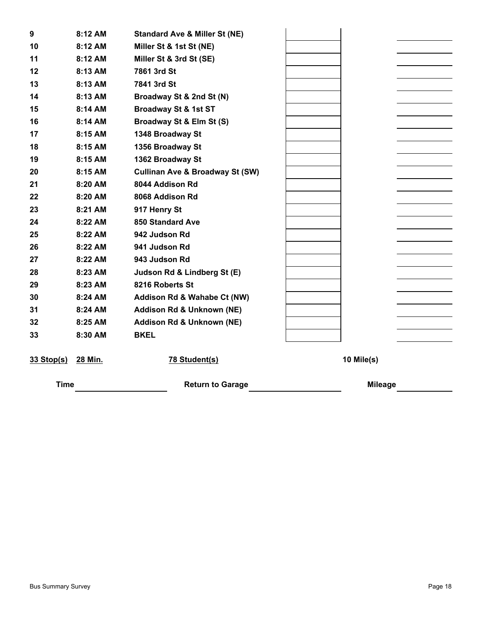| 9            | 8:12 AM | <b>Standard Ave &amp; Miller St (NE)</b>   |            |
|--------------|---------|--------------------------------------------|------------|
| 10           | 8:12 AM | Miller St & 1st St (NE)                    |            |
| 11           | 8:12 AM | Miller St & 3rd St (SE)                    |            |
| 12           | 8:13 AM | 7861 3rd St                                |            |
| 13           | 8:13 AM | 7841 3rd St                                |            |
| 14           | 8:13 AM | Broadway St & 2nd St (N)                   |            |
| 15           | 8:14 AM | <b>Broadway St &amp; 1st ST</b>            |            |
| 16           | 8:14 AM | Broadway St & Elm St (S)                   |            |
| 17           | 8:15 AM | 1348 Broadway St                           |            |
| 18           | 8:15 AM | 1356 Broadway St                           |            |
| 19           | 8:15 AM | 1362 Broadway St                           |            |
| 20           | 8:15 AM | <b>Cullinan Ave &amp; Broadway St (SW)</b> |            |
| 21           | 8:20 AM | 8044 Addison Rd                            |            |
| 22           | 8:20 AM | 8068 Addison Rd                            |            |
| 23           | 8:21 AM | 917 Henry St                               |            |
| 24           | 8:22 AM | <b>850 Standard Ave</b>                    |            |
| 25           | 8:22 AM | 942 Judson Rd                              |            |
| 26           | 8:22 AM | 941 Judson Rd                              |            |
| 27           | 8:22 AM | 943 Judson Rd                              |            |
| 28           | 8:23 AM | Judson Rd & Lindberg St (E)                |            |
| 29           | 8:23 AM | 8216 Roberts St                            |            |
| 30           | 8:24 AM | Addison Rd & Wahabe Ct (NW)                |            |
| 31           | 8:24 AM | Addison Rd & Unknown (NE)                  |            |
| 32           | 8:25 AM | <b>Addison Rd &amp; Unknown (NE)</b>       |            |
| 33           | 8:30 AM | <b>BKEL</b>                                |            |
|              |         |                                            |            |
| $33$ Stop(s) | 28 Min. | 78 Student(s)                              | 10 Mile(s) |

**Time Return to Garage Mileage Mileage**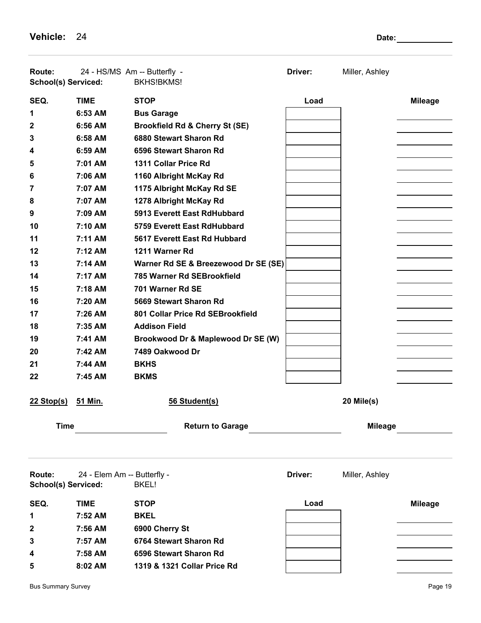**Vehicle:** 24 **Date:** 24 **Date:** 24 **Date:** 24 **Date:** 24 **Date:** 24 **Date:** 24 **Date:** 24 **Date:** 24 **Date:** 24 **Date:** 24 **Date:** 24 **Date:** 24 **Date:** 24 **Date:** 24 **Date:** 22 **Date:** 22 **Date:** 22 **Date:** 22 **Date:** 22

| <b>Route:</b><br><b>School(s) Serviced:</b> |                             | 24 - HS/MS Am -- Butterfly -<br><b>BKHS!BKMS!</b> | Driver: | Miller, Ashley |                |
|---------------------------------------------|-----------------------------|---------------------------------------------------|---------|----------------|----------------|
| SEQ.                                        | <b>TIME</b>                 | <b>STOP</b>                                       | Load    |                | <b>Mileage</b> |
| 1                                           | 6:53 AM                     | <b>Bus Garage</b>                                 |         |                |                |
| 2                                           | 6:56 AM                     | <b>Brookfield Rd &amp; Cherry St (SE)</b>         |         |                |                |
| 3                                           | 6:58 AM                     | 6880 Stewart Sharon Rd                            |         |                |                |
| 4                                           | 6:59 AM                     | 6596 Stewart Sharon Rd                            |         |                |                |
| 5                                           | 7:01 AM                     | 1311 Collar Price Rd                              |         |                |                |
| 6                                           | 7:06 AM                     | 1160 Albright McKay Rd                            |         |                |                |
| 7                                           | 7:07 AM                     | 1175 Albright McKay Rd SE                         |         |                |                |
| 8                                           | 7:07 AM                     | 1278 Albright McKay Rd                            |         |                |                |
| 9                                           | 7:09 AM                     | 5913 Everett East RdHubbard                       |         |                |                |
| 10                                          | $7:10$ AM                   | 5759 Everett East RdHubbard                       |         |                |                |
| 11                                          | 7:11 AM                     | 5617 Everett East Rd Hubbard                      |         |                |                |
| 12                                          | 7:12 AM                     | 1211 Warner Rd                                    |         |                |                |
| 13                                          | 7:14 AM                     | Warner Rd SE & Breezewood Dr SE (SE)              |         |                |                |
| 14                                          | 7:17 AM                     | 785 Warner Rd SEBrookfield                        |         |                |                |
| 15                                          | 7:18 AM                     | 701 Warner Rd SE                                  |         |                |                |
| 16                                          | 7:20 AM                     | 5669 Stewart Sharon Rd                            |         |                |                |
| 17                                          | 7:26 AM                     | 801 Collar Price Rd SEBrookfield                  |         |                |                |
| 18                                          | 7:35 AM                     | <b>Addison Field</b>                              |         |                |                |
| 19                                          | 7:41 AM                     | Brookwood Dr & Maplewood Dr SE (W)                |         |                |                |
| 20                                          | 7:42 AM                     | 7489 Oakwood Dr                                   |         |                |                |
| 21                                          | 7:44 AM                     | <b>BKHS</b>                                       |         |                |                |
| 22                                          | 7:45 AM                     | <b>BKMS</b>                                       |         |                |                |
| $22$ Stop(s)                                | 51 Min.                     | 56 Student(s)                                     |         | 20 Mile(s)     |                |
| <b>Time</b>                                 |                             | <b>Return to Garage</b>                           |         | <b>Mileage</b> |                |
|                                             |                             |                                                   |         |                |                |
| Route:<br><b>School(s) Serviced:</b>        | 24 - Elem Am -- Butterfly - | <b>BKEL!</b>                                      | Driver: | Miller, Ashley |                |
| SEQ.                                        | <b>TIME</b>                 | <b>STOP</b>                                       | Load    |                | <b>Mileage</b> |
| 1                                           | 7:52 AM                     | <b>BKEL</b>                                       |         |                |                |
| 2                                           | 7:56 AM                     | 6900 Cherry St                                    |         |                |                |
| 3                                           | 7:57 AM                     | 6764 Stewart Sharon Rd                            |         |                |                |
| 4                                           | 7:58 AM                     | 6596 Stewart Sharon Rd                            |         |                |                |
| 5                                           | 8:02 AM                     | 1319 & 1321 Collar Price Rd                       |         |                |                |
|                                             |                             |                                                   |         |                |                |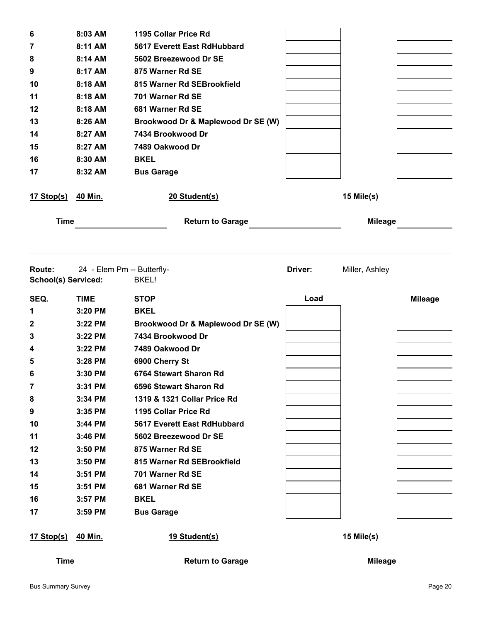| 6                                           | 8:03 AM                    | 1195 Collar Price Rd               |         |                |                |
|---------------------------------------------|----------------------------|------------------------------------|---------|----------------|----------------|
| 7                                           | 8:11 AM                    | 5617 Everett East RdHubbard        |         |                |                |
| 8                                           | 8:14 AM                    | 5602 Breezewood Dr SE              |         |                |                |
| 9                                           | 8:17 AM                    | 875 Warner Rd SE                   |         |                |                |
| 10                                          | 8:18 AM                    | 815 Warner Rd SEBrookfield         |         |                |                |
| 11                                          | 8:18 AM                    | 701 Warner Rd SE                   |         |                |                |
| 12                                          | 8:18 AM                    | 681 Warner Rd SE                   |         |                |                |
| 13                                          | 8:26 AM                    | Brookwood Dr & Maplewood Dr SE (W) |         |                |                |
| 14                                          | 8:27 AM                    | 7434 Brookwood Dr                  |         |                |                |
| 15                                          | 8:27 AM                    | 7489 Oakwood Dr                    |         |                |                |
| 16                                          | 8:30 AM                    | <b>BKEL</b>                        |         |                |                |
| 17                                          | 8:32 AM                    | <b>Bus Garage</b>                  |         |                |                |
| 17 Stop(s)                                  | 40 Min.                    | 20 Student(s)                      |         | 15 Mile(s)     |                |
| <b>Time</b>                                 |                            | <b>Return to Garage</b>            |         | <b>Mileage</b> |                |
|                                             |                            |                                    |         |                |                |
| <b>Route:</b><br><b>School(s) Serviced:</b> | 24 - Elem Pm -- Butterfly- | BKEL!                              | Driver: | Miller, Ashley |                |
| SEQ.                                        | <b>TIME</b>                | <b>STOP</b>                        | Load    |                | <b>Mileage</b> |
| 1                                           | 3:20 PM                    | <b>BKEL</b>                        |         |                |                |
| 2                                           | 3:22 PM                    | Brookwood Dr & Maplewood Dr SE (W) |         |                |                |
| 3                                           | 3:22 PM                    | 7434 Brookwood Dr                  |         |                |                |
| 4                                           | 3:22 PM                    | 7489 Oakwood Dr                    |         |                |                |
| 5                                           | 3:28 PM                    | 6900 Cherry St                     |         |                |                |
| 6                                           | 3:30 PM                    | 6764 Stewart Sharon Rd             |         |                |                |
| $\overline{7}$                              | 3:31 PM                    | 6596 Stewart Sharon Rd             |         |                |                |
| 8                                           | 3:34 PM                    | 1319 & 1321 Collar Price Rd        |         |                |                |
| 9                                           | 3:35 PM                    | 1195 Collar Price Rd               |         |                |                |
| 10                                          | 3:44 PM                    | 5617 Everett East RdHubbard        |         |                |                |
| 11                                          | 3:46 PM                    | 5602 Breezewood Dr SE              |         |                |                |
| 12                                          | 3:50 PM                    | 875 Warner Rd SE                   |         |                |                |
| 13                                          | 3:50 PM                    | 815 Warner Rd SEBrookfield         |         |                |                |
| 14                                          | 3:51 PM                    | 701 Warner Rd SE                   |         |                |                |
| 15                                          | 3:51 PM                    | 681 Warner Rd SE                   |         |                |                |
| 16                                          | 3:57 PM                    | <b>BKEL</b>                        |         |                |                |
| 17                                          | 3:59 PM                    | <b>Bus Garage</b>                  |         |                |                |
| <u>17 Stop(s)</u>                           | 40 Min.                    | 19 Student(s)                      |         | 15 Mile(s)     |                |
| <b>Time</b>                                 |                            | <b>Return to Garage</b>            |         | <b>Mileage</b> |                |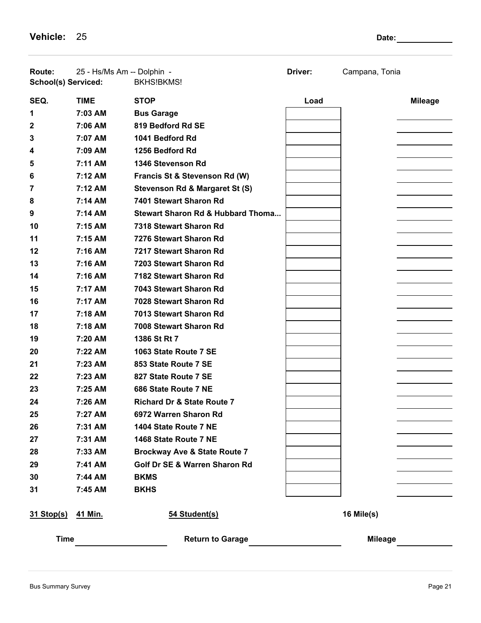**Vehicle:** 25 **Date:** 25

| <b>Route:</b><br>School(s) Serviced: | 25 - Hs/Ms Am -- Dolphin - | <b>BKHS!BKMS!</b>                       | Driver: | Campana, Tonia |                |
|--------------------------------------|----------------------------|-----------------------------------------|---------|----------------|----------------|
| SEQ.                                 | <b>TIME</b>                | <b>STOP</b>                             | Load    |                | <b>Mileage</b> |
| 1                                    | 7:03 AM                    | <b>Bus Garage</b>                       |         |                |                |
| 2                                    | 7:06 AM                    | 819 Bedford Rd SE                       |         |                |                |
| 3                                    | 7:07 AM                    | 1041 Bedford Rd                         |         |                |                |
| 4                                    | 7:09 AM                    | 1256 Bedford Rd                         |         |                |                |
| 5                                    | 7:11 AM                    | 1346 Stevenson Rd                       |         |                |                |
| 6                                    | 7:12 AM                    | Francis St & Stevenson Rd (W)           |         |                |                |
| 7                                    | 7:12 AM                    | Stevenson Rd & Margaret St (S)          |         |                |                |
| 8                                    | 7:14 AM                    | 7401 Stewart Sharon Rd                  |         |                |                |
| 9                                    | 7:14 AM                    | Stewart Sharon Rd & Hubbard Thoma       |         |                |                |
| 10                                   | 7:15 AM                    | 7318 Stewart Sharon Rd                  |         |                |                |
| 11                                   | 7:15 AM                    | 7276 Stewart Sharon Rd                  |         |                |                |
| 12                                   | 7:16 AM                    | 7217 Stewart Sharon Rd                  |         |                |                |
| 13                                   | 7:16 AM                    | 7203 Stewart Sharon Rd                  |         |                |                |
| 14                                   | 7:16 AM                    | 7182 Stewart Sharon Rd                  |         |                |                |
| 15                                   | 7:17 AM                    | 7043 Stewart Sharon Rd                  |         |                |                |
| 16                                   | 7:17 AM                    | 7028 Stewart Sharon Rd                  |         |                |                |
| 17                                   | 7:18 AM                    | 7013 Stewart Sharon Rd                  |         |                |                |
| 18                                   | 7:18 AM                    | 7008 Stewart Sharon Rd                  |         |                |                |
| 19                                   | 7:20 AM                    | 1386 St Rt 7                            |         |                |                |
| 20                                   | 7:22 AM                    | 1063 State Route 7 SE                   |         |                |                |
| 21                                   | 7:23 AM                    | 853 State Route 7 SE                    |         |                |                |
| 22                                   | 7:23 AM                    | 827 State Route 7 SE                    |         |                |                |
| 23                                   | 7:25 AM                    | 686 State Route 7 NE                    |         |                |                |
| 24                                   | 7:26 AM                    | <b>Richard Dr &amp; State Route 7</b>   |         |                |                |
| 25                                   | 7:27 AM                    | 6972 Warren Sharon Rd                   |         |                |                |
| 26                                   | 7:31 AM                    | 1404 State Route 7 NE                   |         |                |                |
| 27                                   | 7:31 AM                    | 1468 State Route 7 NE                   |         |                |                |
| 28                                   | 7:33 AM                    | <b>Brockway Ave &amp; State Route 7</b> |         |                |                |
| 29                                   | 7:41 AM                    | Golf Dr SE & Warren Sharon Rd           |         |                |                |
| 30                                   | 7:44 AM                    | <b>BKMS</b>                             |         |                |                |
| 31                                   | 7:45 AM                    | <b>BKHS</b>                             |         |                |                |
| <u>31 Stop(s)</u>                    | 41 Min.                    | 54 Student(s)                           |         | 16 Mile(s)     |                |
| <b>Time</b>                          |                            | <b>Return to Garage</b>                 |         | <b>Mileage</b> |                |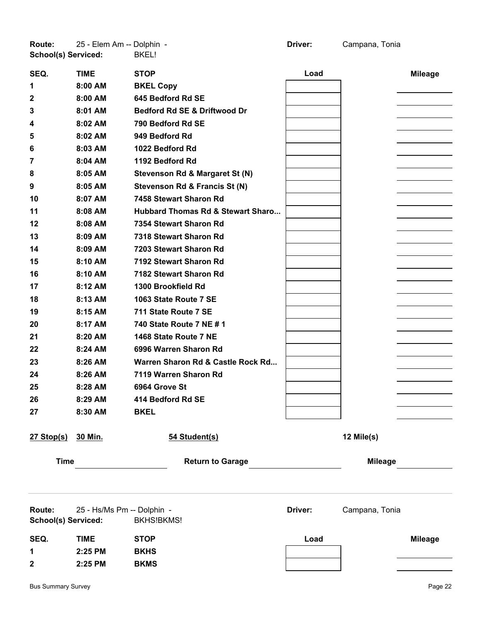**Route:** 25 - Elem Am -- Dolphin - **Driver:** Campana, Tonia **School(s) Serviced:** BKEL!

| SEQ.                | <b>TIME</b>                | <b>STOP</b>                       | Load    |                | <b>Mileage</b> |
|---------------------|----------------------------|-----------------------------------|---------|----------------|----------------|
| 1                   | 8:00 AM                    | <b>BKEL Copy</b>                  |         |                |                |
| 2                   | 8:00 AM                    | 645 Bedford Rd SE                 |         |                |                |
| 3                   | 8:01 AM                    | Bedford Rd SE & Driftwood Dr      |         |                |                |
| 4                   | 8:02 AM                    | 790 Bedford Rd SE                 |         |                |                |
| 5                   | 8:02 AM                    | 949 Bedford Rd                    |         |                |                |
| 6                   | 8:03 AM                    | 1022 Bedford Rd                   |         |                |                |
| 7                   | 8:04 AM                    | 1192 Bedford Rd                   |         |                |                |
| 8                   | 8:05 AM                    | Stevenson Rd & Margaret St (N)    |         |                |                |
| 9                   | 8:05 AM                    | Stevenson Rd & Francis St (N)     |         |                |                |
| 10                  | 8:07 AM                    | 7458 Stewart Sharon Rd            |         |                |                |
| 11                  | 8:08 AM                    | Hubbard Thomas Rd & Stewart Sharo |         |                |                |
| 12                  | 8:08 AM                    | 7354 Stewart Sharon Rd            |         |                |                |
| 13                  | 8:09 AM                    | 7318 Stewart Sharon Rd            |         |                |                |
| 14                  | 8:09 AM                    | 7203 Stewart Sharon Rd            |         |                |                |
| 15                  | 8:10 AM                    | 7192 Stewart Sharon Rd            |         |                |                |
| 16                  | 8:10 AM                    | 7182 Stewart Sharon Rd            |         |                |                |
| 17                  | 8:12 AM                    | 1300 Brookfield Rd                |         |                |                |
| 18                  | 8:13 AM                    | 1063 State Route 7 SE             |         |                |                |
| 19                  | 8:15 AM                    | 711 State Route 7 SE              |         |                |                |
| 20                  | 8:17 AM                    | 740 State Route 7 NE # 1          |         |                |                |
| 21                  | 8:20 AM                    | 1468 State Route 7 NE             |         |                |                |
| 22                  | 8:24 AM                    | 6996 Warren Sharon Rd             |         |                |                |
| 23                  | 8:26 AM                    | Warren Sharon Rd & Castle Rock Rd |         |                |                |
| 24                  | 8:26 AM                    | 7119 Warren Sharon Rd             |         |                |                |
| 25                  | 8:28 AM                    | 6964 Grove St                     |         |                |                |
| 26                  | 8:29 AM                    | 414 Bedford Rd SE                 |         |                |                |
| 27                  | 8:30 AM                    | <b>BKEL</b>                       |         |                |                |
|                     |                            |                                   |         |                |                |
| 27 Stop(s) 30 Min.  |                            | 54 Student(s)                     |         | 12 Mile(s)     |                |
|                     |                            |                                   |         |                |                |
| <b>Time</b>         |                            | <b>Return to Garage</b>           |         | <b>Mileage</b> |                |
|                     |                            |                                   |         |                |                |
| Route:              | 25 - Hs/Ms Pm -- Dolphin - |                                   | Driver: | Campana, Tonia |                |
| School(s) Serviced: |                            | <b>BKHS!BKMS!</b>                 |         |                |                |
| SEQ.                | <b>TIME</b>                | <b>STOP</b>                       | Load    |                | <b>Mileage</b> |

 **2:25 PM BKHS 2:25 PM BKMS**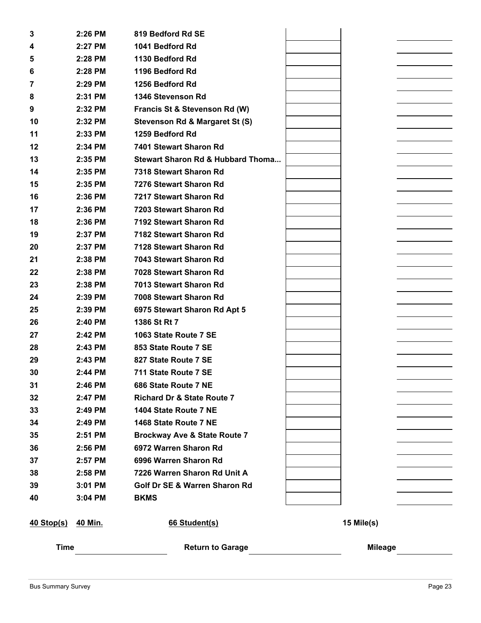| 3           | 2:26 PM | 819 Bedford Rd SE                            |                |  |
|-------------|---------|----------------------------------------------|----------------|--|
| 4           | 2:27 PM | 1041 Bedford Rd                              |                |  |
| 5           | 2:28 PM | 1130 Bedford Rd                              |                |  |
| 6           | 2:28 PM | 1196 Bedford Rd                              |                |  |
| 7           | 2:29 PM | 1256 Bedford Rd                              |                |  |
| 8           | 2:31 PM | 1346 Stevenson Rd                            |                |  |
| 9           | 2:32 PM | Francis St & Stevenson Rd (W)                |                |  |
| 10          | 2:32 PM | Stevenson Rd & Margaret St (S)               |                |  |
| 11          | 2:33 PM | 1259 Bedford Rd                              |                |  |
| 12          | 2:34 PM | 7401 Stewart Sharon Rd                       |                |  |
| 13          | 2:35 PM | <b>Stewart Sharon Rd &amp; Hubbard Thoma</b> |                |  |
| 14          | 2:35 PM | 7318 Stewart Sharon Rd                       |                |  |
| 15          | 2:35 PM | 7276 Stewart Sharon Rd                       |                |  |
| 16          | 2:36 PM | 7217 Stewart Sharon Rd                       |                |  |
| 17          | 2:36 PM | 7203 Stewart Sharon Rd                       |                |  |
| 18          | 2:36 PM | 7192 Stewart Sharon Rd                       |                |  |
| 19          | 2:37 PM | 7182 Stewart Sharon Rd                       |                |  |
| 20          | 2:37 PM | 7128 Stewart Sharon Rd                       |                |  |
| 21          | 2:38 PM | 7043 Stewart Sharon Rd                       |                |  |
| 22          | 2:38 PM | 7028 Stewart Sharon Rd                       |                |  |
| 23          | 2:38 PM | 7013 Stewart Sharon Rd                       |                |  |
| 24          | 2:39 PM | 7008 Stewart Sharon Rd                       |                |  |
| 25          | 2:39 PM | 6975 Stewart Sharon Rd Apt 5                 |                |  |
| 26          | 2:40 PM | 1386 St Rt 7                                 |                |  |
| 27          | 2:42 PM | 1063 State Route 7 SE                        |                |  |
| 28          | 2:43 PM | 853 State Route 7 SE                         |                |  |
| 29          | 2:43 PM | 827 State Route 7 SE                         |                |  |
| 30          | 2:44 PM | 711 State Route 7 SE                         |                |  |
| 31          | 2:46 PM | 686 State Route 7 NE                         |                |  |
| 32          | 2:47 PM | <b>Richard Dr &amp; State Route 7</b>        |                |  |
| 33          | 2:49 PM | 1404 State Route 7 NE                        |                |  |
| 34          | 2:49 PM | 1468 State Route 7 NE                        |                |  |
| 35          | 2:51 PM | <b>Brockway Ave &amp; State Route 7</b>      |                |  |
| 36          | 2:56 PM | 6972 Warren Sharon Rd                        |                |  |
| 37          | 2:57 PM | 6996 Warren Sharon Rd                        |                |  |
| 38          | 2:58 PM | 7226 Warren Sharon Rd Unit A                 |                |  |
| 39          | 3:01 PM | Golf Dr SE & Warren Sharon Rd                |                |  |
| 40          | 3:04 PM | <b>BKMS</b>                                  |                |  |
| 40 Stop(s)  | 40 Min. | 66 Student(s)                                | 15 Mile(s)     |  |
| <b>Time</b> |         | <b>Return to Garage</b>                      | <b>Mileage</b> |  |